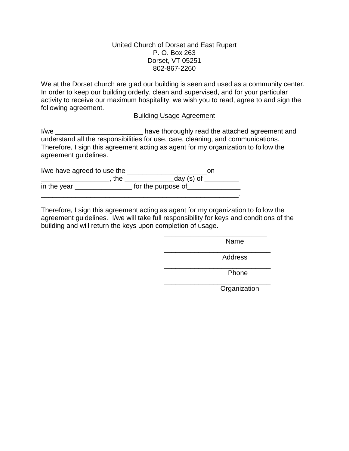## United Church of Dorset and East Rupert P. O. Box 263 Dorset, VT 05251 802-867-2260

We at the Dorset church are glad our building is seen and used as a community center. In order to keep our building orderly, clean and supervised, and for your particular activity to receive our maximum hospitality, we wish you to read, agree to and sign the following agreement.

## Building Usage Agreement

I/we \_\_\_\_\_\_\_\_\_\_\_\_\_\_\_\_\_\_\_\_\_\_\_\_\_\_\_\_\_\_\_\_\_\_ have thoroughly read the attached agreement and understand all the responsibilities for use, care, cleaning, and communications. Therefore, I sign this agreement acting as agent for my organization to follow the agreement guidelines.

I/we have agreed to use the \_\_\_\_\_\_\_\_\_\_\_\_\_\_\_\_\_\_\_\_\_\_\_\_\_\_\_\_\_\_\_\_on \_\_\_\_\_\_\_\_\_\_\_\_\_\_\_\_\_\_\_\_\_, the \_\_\_\_\_\_\_\_\_\_\_\_\_\_\_\_day (s) of \_\_\_\_\_\_\_\_\_\_ in the year \_\_\_\_\_\_\_\_\_\_\_\_\_\_\_\_\_\_\_ for the purpose of\_\_\_\_\_\_\_\_\_\_\_\_\_\_\_\_\_\_\_\_\_\_\_\_\_\_\_\_\_\_

Therefore, I sign this agreement acting as agent for my organization to follow the agreement guidelines. I/we will take full responsibility for keys and conditions of the building and will return the keys upon completion of usage.

> \_\_\_\_\_\_\_\_\_\_\_\_\_\_\_\_\_\_\_\_\_\_\_\_\_\_\_ Name

\_\_\_\_\_\_\_\_\_\_\_\_\_\_\_\_\_\_\_\_\_\_\_\_\_\_\_\_ Address

\_\_\_\_\_\_\_\_\_\_\_\_\_\_\_\_\_\_\_\_\_\_\_\_\_\_\_\_

\_\_\_\_\_\_\_\_\_\_\_\_\_\_\_\_\_\_\_\_\_\_\_\_\_\_\_\_

Phone

**Organization**